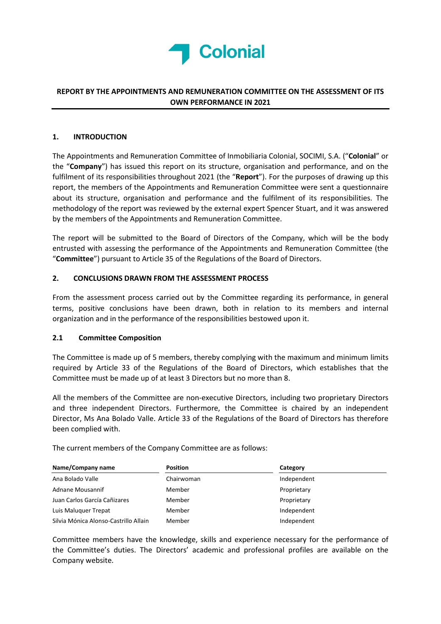

# REPORT BY THE APPOINTMENTS AND REMUNERATION COMMITTEE ON THE ASSESSMENT OF ITS OWN PERFORMANCE IN 2021

### 1. INTRODUCTION

The Appointments and Remuneration Committee of Inmobiliaria Colonial, SOCIMI, S.A. ("Colonial" or the "Company") has issued this report on its structure, organisation and performance, and on the fulfilment of its responsibilities throughout 2021 (the "Report"). For the purposes of drawing up this report, the members of the Appointments and Remuneration Committee were sent a questionnaire about its structure, organisation and performance and the fulfilment of its responsibilities. The methodology of the report was reviewed by the external expert Spencer Stuart, and it was answered by the members of the Appointments and Remuneration Committee.

The report will be submitted to the Board of Directors of the Company, which will be the body entrusted with assessing the performance of the Appointments and Remuneration Committee (the "Committee") pursuant to Article 35 of the Regulations of the Board of Directors.

### 2. CONCLUSIONS DRAWN FROM THE ASSESSMENT PROCESS

From the assessment process carried out by the Committee regarding its performance, in general terms, positive conclusions have been drawn, both in relation to its members and internal organization and in the performance of the responsibilities bestowed upon it.

### 2.1 Committee Composition

The Committee is made up of 5 members, thereby complying with the maximum and minimum limits required by Article 33 of the Regulations of the Board of Directors, which establishes that the Committee must be made up of at least 3 Directors but no more than 8.

All the members of the Committee are non-executive Directors, including two proprietary Directors and three independent Directors. Furthermore, the Committee is chaired by an independent Director, Ms Ana Bolado Valle. Article 33 of the Regulations of the Board of Directors has therefore been complied with.

The current members of the Company Committee are as follows:

| Name/Company name                     | <b>Position</b> | Category    |  |
|---------------------------------------|-----------------|-------------|--|
| Ana Bolado Valle                      | Chairwoman      | Independent |  |
| Adnane Mousannif                      | Member          | Proprietary |  |
| Juan Carlos García Cañizares          | Member          | Proprietary |  |
| Luis Maluguer Trepat                  | Member          | Independent |  |
| Silvia Mónica Alonso-Castrillo Allain | Member          | Independent |  |

Committee members have the knowledge, skills and experience necessary for the performance of the Committee's duties. The Directors' academic and professional profiles are available on the Company website.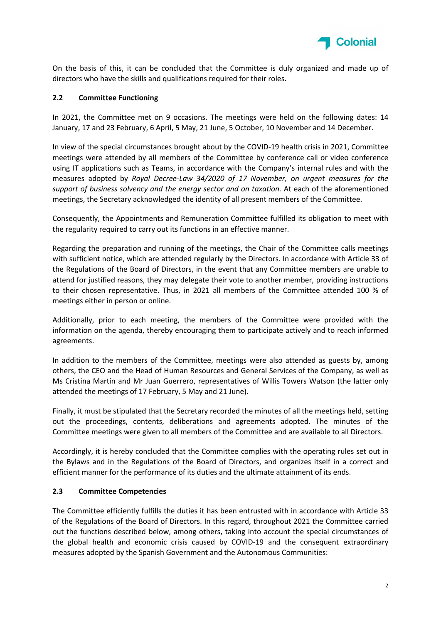

On the basis of this, it can be concluded that the Committee is duly organized and made up of directors who have the skills and qualifications required for their roles.

### 2.2 Committee Functioning

In 2021, the Committee met on 9 occasions. The meetings were held on the following dates: 14 January, 17 and 23 February, 6 April, 5 May, 21 June, 5 October, 10 November and 14 December.

In view of the special circumstances brought about by the COVID-19 health crisis in 2021, Committee meetings were attended by all members of the Committee by conference call or video conference using IT applications such as Teams, in accordance with the Company's internal rules and with the measures adopted by Royal Decree-Law 34/2020 of 17 November, on urgent measures for the support of business solvency and the energy sector and on taxation. At each of the aforementioned meetings, the Secretary acknowledged the identity of all present members of the Committee.

Consequently, the Appointments and Remuneration Committee fulfilled its obligation to meet with the regularity required to carry out its functions in an effective manner.

Regarding the preparation and running of the meetings, the Chair of the Committee calls meetings with sufficient notice, which are attended regularly by the Directors. In accordance with Article 33 of the Regulations of the Board of Directors, in the event that any Committee members are unable to attend for justified reasons, they may delegate their vote to another member, providing instructions to their chosen representative. Thus, in 2021 all members of the Committee attended 100 % of meetings either in person or online.

Additionally, prior to each meeting, the members of the Committee were provided with the information on the agenda, thereby encouraging them to participate actively and to reach informed agreements.

In addition to the members of the Committee, meetings were also attended as guests by, among others, the CEO and the Head of Human Resources and General Services of the Company, as well as Ms Cristina Martín and Mr Juan Guerrero, representatives of Willis Towers Watson (the latter only attended the meetings of 17 February, 5 May and 21 June).

Finally, it must be stipulated that the Secretary recorded the minutes of all the meetings held, setting out the proceedings, contents, deliberations and agreements adopted. The minutes of the Committee meetings were given to all members of the Committee and are available to all Directors.

Accordingly, it is hereby concluded that the Committee complies with the operating rules set out in the Bylaws and in the Regulations of the Board of Directors, and organizes itself in a correct and efficient manner for the performance of its duties and the ultimate attainment of its ends.

### 2.3 Committee Competencies

The Committee efficiently fulfills the duties it has been entrusted with in accordance with Article 33 of the Regulations of the Board of Directors. In this regard, throughout 2021 the Committee carried out the functions described below, among others, taking into account the special circumstances of the global health and economic crisis caused by COVID-19 and the consequent extraordinary measures adopted by the Spanish Government and the Autonomous Communities: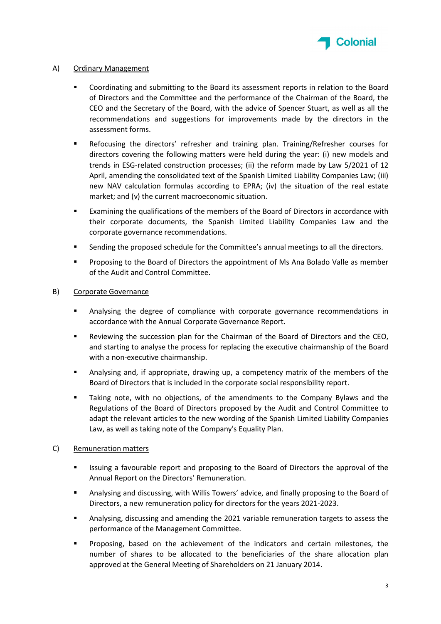

# A) Ordinary Management

- Coordinating and submitting to the Board its assessment reports in relation to the Board of Directors and the Committee and the performance of the Chairman of the Board, the CEO and the Secretary of the Board, with the advice of Spencer Stuart, as well as all the recommendations and suggestions for improvements made by the directors in the assessment forms.
- Refocusing the directors' refresher and training plan. Training/Refresher courses for directors covering the following matters were held during the year: (i) new models and trends in ESG-related construction processes; (ii) the reform made by Law 5/2021 of 12 April, amending the consolidated text of the Spanish Limited Liability Companies Law; (iii) new NAV calculation formulas according to EPRA; (iv) the situation of the real estate market; and (v) the current macroeconomic situation.
- Examining the qualifications of the members of the Board of Directors in accordance with their corporate documents, the Spanish Limited Liability Companies Law and the corporate governance recommendations.
- Sending the proposed schedule for the Committee's annual meetings to all the directors.
- Proposing to the Board of Directors the appointment of Ms Ana Bolado Valle as member of the Audit and Control Committee.

# B) Corporate Governance

- Analysing the degree of compliance with corporate governance recommendations in accordance with the Annual Corporate Governance Report.
- Reviewing the succession plan for the Chairman of the Board of Directors and the CEO, and starting to analyse the process for replacing the executive chairmanship of the Board with a non-executive chairmanship.
- Analysing and, if appropriate, drawing up, a competency matrix of the members of the Board of Directors that is included in the corporate social responsibility report.
- Taking note, with no objections, of the amendments to the Company Bylaws and the Regulations of the Board of Directors proposed by the Audit and Control Committee to adapt the relevant articles to the new wording of the Spanish Limited Liability Companies Law, as well as taking note of the Company's Equality Plan.

### C) Remuneration matters

- Issuing a favourable report and proposing to the Board of Directors the approval of the Annual Report on the Directors' Remuneration.
- Analysing and discussing, with Willis Towers' advice, and finally proposing to the Board of Directors, a new remuneration policy for directors for the years 2021-2023.
- Analysing, discussing and amending the 2021 variable remuneration targets to assess the performance of the Management Committee.
- Proposing, based on the achievement of the indicators and certain milestones, the number of shares to be allocated to the beneficiaries of the share allocation plan approved at the General Meeting of Shareholders on 21 January 2014.